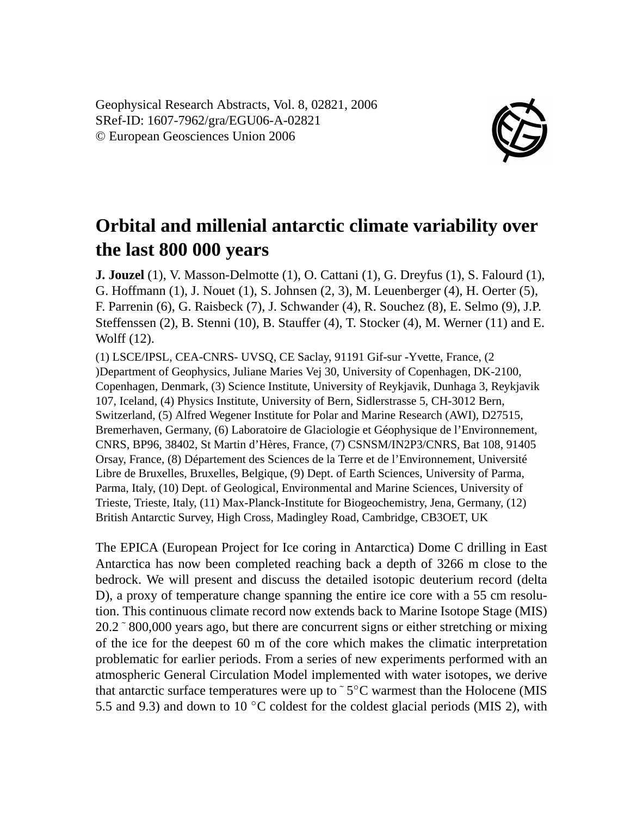Geophysical Research Abstracts, Vol. 8, 02821, 2006 SRef-ID: 1607-7962/gra/EGU06-A-02821 © European Geosciences Union 2006



## **Orbital and millenial antarctic climate variability over the last 800 000 years**

**J. Jouzel** (1), V. Masson-Delmotte (1), O. Cattani (1), G. Dreyfus (1), S. Falourd (1), G. Hoffmann (1), J. Nouet (1), S. Johnsen (2, 3), M. Leuenberger (4), H. Oerter (5), F. Parrenin (6), G. Raisbeck (7), J. Schwander (4), R. Souchez (8), E. Selmo (9), J.P. Steffenssen (2), B. Stenni (10), B. Stauffer (4), T. Stocker (4), M. Werner (11) and E. Wolff (12).

(1) LSCE/IPSL, CEA-CNRS- UVSQ, CE Saclay, 91191 Gif-sur -Yvette, France, (2 )Department of Geophysics, Juliane Maries Vej 30, University of Copenhagen, DK-2100, Copenhagen, Denmark, (3) Science Institute, University of Reykjavik, Dunhaga 3, Reykjavik 107, Iceland, (4) Physics Institute, University of Bern, Sidlerstrasse 5, CH-3012 Bern, Switzerland, (5) Alfred Wegener Institute for Polar and Marine Research (AWI), D27515, Bremerhaven, Germany, (6) Laboratoire de Glaciologie et Géophysique de l'Environnement, CNRS, BP96, 38402, St Martin d'Hères, France, (7) CSNSM/IN2P3/CNRS, Bat 108, 91405 Orsay, France, (8) Département des Sciences de la Terre et de l'Environnement, Université Libre de Bruxelles, Bruxelles, Belgique, (9) Dept. of Earth Sciences, University of Parma, Parma, Italy, (10) Dept. of Geological, Environmental and Marine Sciences, University of Trieste, Trieste, Italy, (11) Max-Planck-Institute for Biogeochemistry, Jena, Germany, (12) British Antarctic Survey, High Cross, Madingley Road, Cambridge, CB3OET, UK

The EPICA (European Project for Ice coring in Antarctica) Dome C drilling in East Antarctica has now been completed reaching back a depth of 3266 m close to the bedrock. We will present and discuss the detailed isotopic deuterium record (delta D), a proxy of temperature change spanning the entire ice core with a 55 cm resolution. This continuous climate record now extends back to Marine Isotope Stage (MIS) 20.2 ˜ 800,000 years ago, but there are concurrent signs or either stretching or mixing of the ice for the deepest 60 m of the core which makes the climatic interpretation problematic for earlier periods. From a series of new experiments performed with an atmospheric General Circulation Model implemented with water isotopes, we derive that antarctic surface temperatures were up to ~5°C warmest than the Holocene (MIS 5.5 and 9.3) and down to 10  $\degree$ C coldest for the coldest glacial periods (MIS 2), with